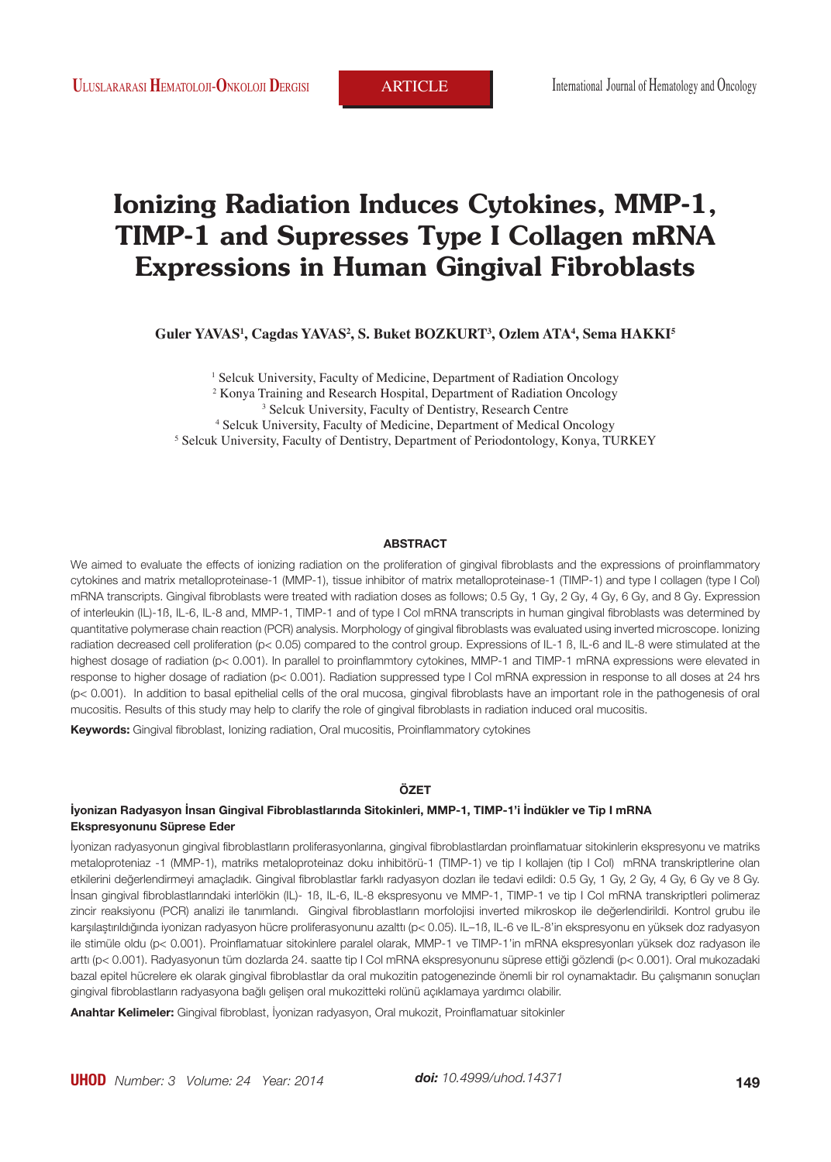# **Ionizing Radiation Induces Cytokines, MMP-1, TIMP-1 and Supresses Type I Collagen mRNA Expressions in Human Gingival Fibroblasts**

 $\,$ Guler YAVAS<sup>1</sup>, Cagdas YAVAS<sup>2</sup>, S. Buket BOZKURT<sup>3</sup>, Ozlem ATA<sup>4</sup>, Sema HAKKI<sup>5</sup>

<sup>1</sup> Selcuk University, Faculty of Medicine, Department of Radiation Oncology <sup>2</sup> Konya Training and Research Hospital, Department of Radiation Oncology  $\frac{3}{3}$  Selcuk University Faculty of Dentistry Research Centre <sup>3</sup> Selcuk University, Faculty of Dentistry, Research Centre 4 Selcuk University, Faculty of Medicine, Department of Medical Oncology <sup>5</sup> Selcuk University, Faculty of Dentistry, Department of Periodontology, Konya, TURKEY

#### **ABSTRACT**

We aimed to evaluate the effects of ionizing radiation on the proliferation of gingival fibroblasts and the expressions of proinflammatory cytokines and matrix metalloproteinase-1 (MMP-1), tissue inhibitor of matrix metalloproteinase-1 (TIMP-1) and type I collagen (type I Col) mRNA transcripts. Gingival fibroblasts were treated with radiation doses as follows; 0.5 Gy, 1 Gy, 2 Gy, 4 Gy, 6 Gy, and 8 Gy. Expression of interleukin (IL)-1ß, IL-6, IL-8 and, MMP-1, TIMP-1 and of type I Col mRNA transcripts in human gingival fibroblasts was determined by quantitative polymerase chain reaction (PCR) analysis. Morphology of gingival fibroblasts was evaluated using inverted microscope. Ionizing radiation decreased cell proliferation (p< 0.05) compared to the control group. Expressions of IL-1 B, IL-6 and IL-8 were stimulated at the highest dosage of radiation (p< 0.001). In parallel to proinflammtory cytokines, MMP-1 and TIMP-1 mRNA expressions were elevated in response to higher dosage of radiation (p< 0.001). Radiation suppressed type I Col mRNA expression in response to all doses at 24 hrs (p< 0.001). In addition to basal epithelial cells of the oral mucosa, gingival fibroblasts have an important role in the pathogenesis of oral mucositis. Results of this study may help to clarify the role of gingival fibroblasts in radiation induced oral mucositis.

**Keywords:** Gingival fibroblast, Ionizing radiation, Oral mucositis, Proinflammatory cytokines

## **ÖZET**

#### **İyonizan Radyasyon İnsan Gingival Fibroblastlarında Sitokinleri, MMP-1, TIMP-1'i İndükler ve Tip I mRNA Ekspresyonunu Süprese Eder**

İyonizan radyasyonun gingival fibroblastların proliferasyonlarına, gingival fibroblastlardan proinflamatuar sitokinlerin ekspresyonu ve matriks metaloproteniaz -1 (MMP-1), matriks metaloproteinaz doku inhibitörü-1 (TIMP-1) ve tip I kollajen (tip I Col) mRNA transkriptlerine olan etkilerini değerlendirmeyi amaçladık. Gingival fibroblastlar farklı radyasyon dozları ile tedavi edildi: 0.5 Gy, 1 Gy, 2 Gy, 4 Gy, 6 Gy ve 8 Gy. İnsan gingival fibroblastlarındaki interlökin (IL)- 1ß, IL-6, IL-8 ekspresyonu ve MMP-1, TIMP-1 ve tip I Col mRNA transkriptleri polimeraz zincir reaksiyonu (PCR) analizi ile tanımlandı. Gingival fibroblastların morfolojisi inverted mikroskop ile değerlendirildi. Kontrol grubu ile karşılaştırıldığında iyonizan radyasyon hücre proliferasyonunu azalttı (p< 0.05). IL–1ß, IL-6 ve IL-8'in ekspresyonu en yüksek doz radyasyon ile stimüle oldu (p< 0.001). Proinflamatuar sitokinlere paralel olarak, MMP-1 ve TIMP-1'in mRNA ekspresyonları yüksek doz radyason ile arttı (p< 0.001). Radyasyonun tüm dozlarda 24. saatte tip I Col mRNA ekspresyonunu süprese ettiği gözlendi (p< 0.001). Oral mukozadaki bazal epitel hücrelere ek olarak gingival fibroblastlar da oral mukozitin patogenezinde önemli bir rol oynamaktadır. Bu çalışmanın sonuçları gingival fibroblastların radyasyona bağlı gelişen oral mukozitteki rolünü açıklamaya yardımcı olabilir.

**Anahtar Kelimeler:** Gingival fibroblast, İyonizan radyasyon, Oral mukozit, Proinflamatuar sitokinler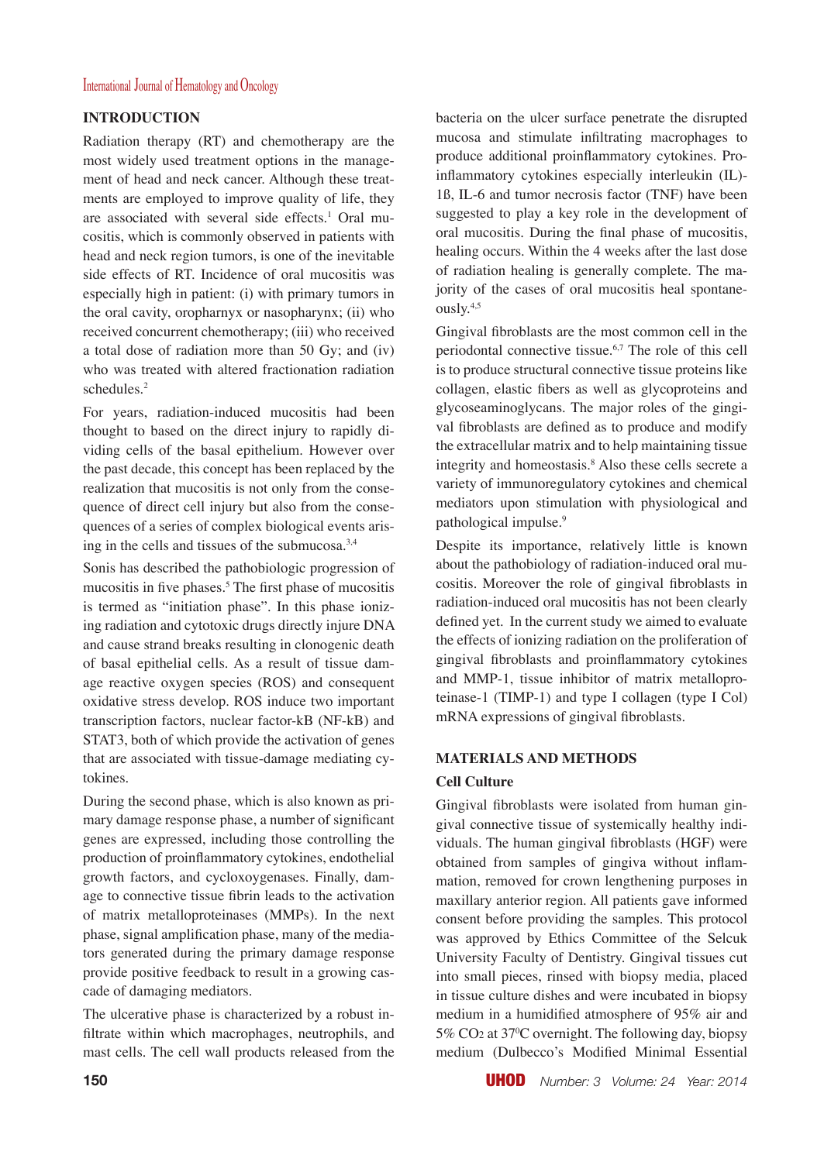## **INTRODUCTION**

Radiation therapy (RT) and chemotherapy are the most widely used treatment options in the management of head and neck cancer. Although these treatments are employed to improve quality of life, they are associated with several side effects.<sup>1</sup> Oral mucositis, which is commonly observed in patients with head and neck region tumors, is one of the inevitable side effects of RT. Incidence of oral mucositis was especially high in patient: (i) with primary tumors in the oral cavity, oropharnyx or nasopharynx; (ii) who received concurrent chemotherapy; (iii) who received a total dose of radiation more than 50 Gy; and (iv) who was treated with altered fractionation radiation schedules.<sup>2</sup>

For years, radiation-induced mucositis had been thought to based on the direct injury to rapidly dividing cells of the basal epithelium. However over the past decade, this concept has been replaced by the realization that mucositis is not only from the consequence of direct cell injury but also from the consequences of a series of complex biological events arising in the cells and tissues of the submucosa.3,4

Sonis has described the pathobiologic progression of mucositis in five phases.<sup>5</sup> The first phase of mucositis is termed as "initiation phase". In this phase ionizing radiation and cytotoxic drugs directly injure DNA and cause strand breaks resulting in clonogenic death of basal epithelial cells. As a result of tissue damage reactive oxygen species (ROS) and consequent oxidative stress develop. ROS induce two important transcription factors, nuclear factor-kB (NF-kB) and STAT3, both of which provide the activation of genes that are associated with tissue-damage mediating cytokines.

During the second phase, which is also known as primary damage response phase, a number of significant genes are expressed, including those controlling the production of proinflammatory cytokines, endothelial growth factors, and cycloxoygenases. Finally, damage to connective tissue fibrin leads to the activation of matrix metalloproteinases (MMPs). In the next phase, signal amplification phase, many of the mediators generated during the primary damage response provide positive feedback to result in a growing cascade of damaging mediators.

The ulcerative phase is characterized by a robust infiltrate within which macrophages, neutrophils, and mast cells. The cell wall products released from the bacteria on the ulcer surface penetrate the disrupted mucosa and stimulate infiltrating macrophages to produce additional proinflammatory cytokines. Proinflammatory cytokines especially interleukin (IL)- 1ß, IL-6 and tumor necrosis factor (TNF) have been suggested to play a key role in the development of oral mucositis. During the final phase of mucositis, healing occurs. Within the 4 weeks after the last dose of radiation healing is generally complete. The majority of the cases of oral mucositis heal spontaneously.4,5

Gingival fibroblasts are the most common cell in the periodontal connective tissue.6,7 The role of this cell is to produce structural connective tissue proteins like collagen, elastic fibers as well as glycoproteins and glycoseaminoglycans. The major roles of the gingival fibroblasts are defined as to produce and modify the extracellular matrix and to help maintaining tissue integrity and homeostasis.8 Also these cells secrete a variety of immunoregulatory cytokines and chemical mediators upon stimulation with physiological and pathological impulse.9

Despite its importance, relatively little is known about the pathobiology of radiation-induced oral mucositis. Moreover the role of gingival fibroblasts in radiation-induced oral mucositis has not been clearly defined yet. In the current study we aimed to evaluate the effects of ionizing radiation on the proliferation of gingival fibroblasts and proinflammatory cytokines and MMP-1, tissue inhibitor of matrix metalloproteinase-1 (TIMP-1) and type I collagen (type I Col) mRNA expressions of gingival fibroblasts.

# **MATERIALS AND METHODS**

## **Cell Culture**

Gingival fibroblasts were isolated from human gingival connective tissue of systemically healthy individuals. The human gingival fibroblasts (HGF) were obtained from samples of gingiva without inflammation, removed for crown lengthening purposes in maxillary anterior region. All patients gave informed consent before providing the samples. This protocol was approved by Ethics Committee of the Selcuk University Faculty of Dentistry. Gingival tissues cut into small pieces, rinsed with biopsy media, placed in tissue culture dishes and were incubated in biopsy medium in a humidified atmosphere of 95% air and 5% CO2 at 37<sup>0</sup> C overnight. The following day, biopsy medium (Dulbecco's Modified Minimal Essential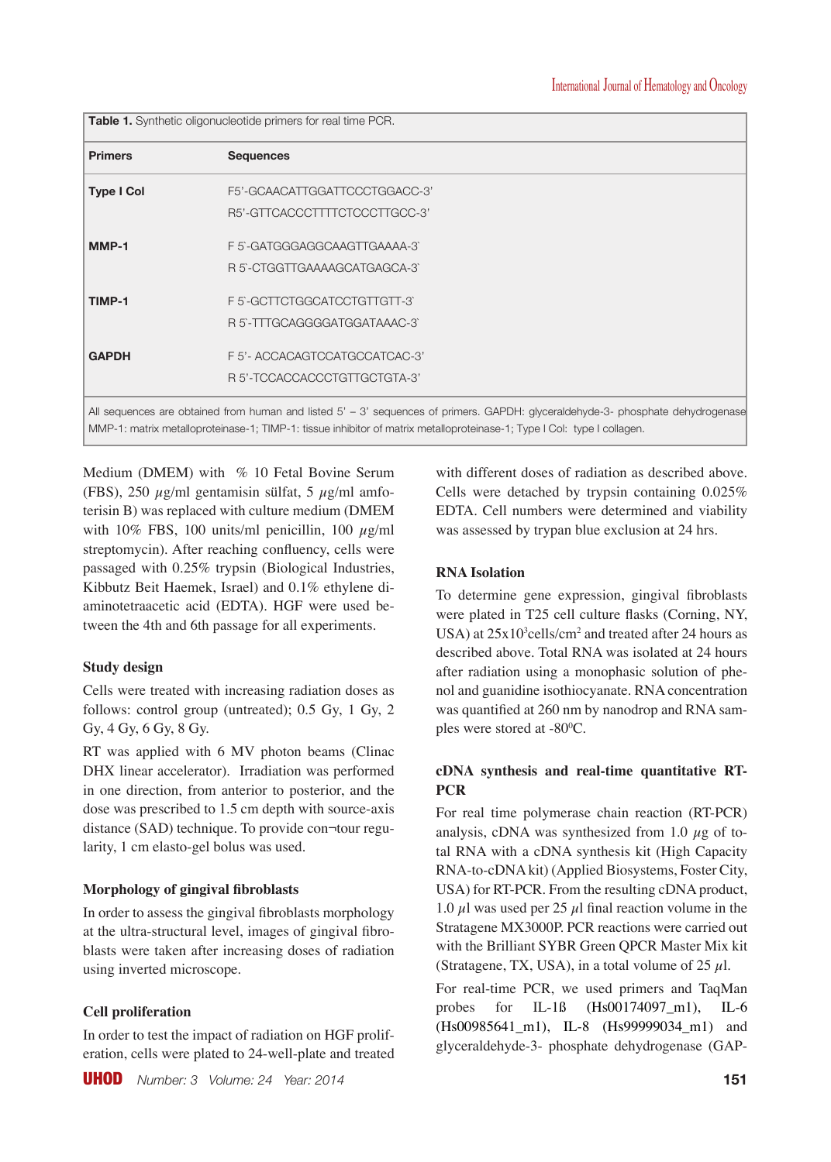**Table 1.** Synthetic oligonucleotide primers for real time PCR.

| <b>Primers</b>    | <b>Sequences</b>              |
|-------------------|-------------------------------|
| <b>Type I Col</b> | F5'-GCAACATTGGATTCCCTGGACC-3' |
|                   | R5'-GTTCACCCTTTTCTCCCTTGCC-3' |
| MMP-1             | F5-GATGGGAGGCAAGTTGAAAA-3     |
|                   | R 5-CTGGTTGAAAAGCATGAGCA-3    |
| TIMP-1            | F5-GCTTCTGGCATCCTGTTGTT-3     |
|                   | R 5-TTTGCAGGGGATGGATAAAC-3    |
| <b>GAPDH</b>      | F 5'- ACCACAGTCCATGCCATCAC-3' |
|                   | R 5'-TCCACCACCCTGTTGCTGTA-3'  |

MMP-1: matrix metalloproteinase-1; TIMP-1: tissue inhibitor of matrix metalloproteinase-1; Type I Col: type I collagen.

Medium (DMEM) with % 10 Fetal Bovine Serum (FBS), 250  $\mu$ g/ml gentamisin sülfat, 5  $\mu$ g/ml amfoterisin B) was replaced with culture medium (DMEM with 10% FBS, 100 units/ml penicillin, 100  $\mu$ g/ml streptomycin). After reaching confluency, cells were passaged with 0.25% trypsin (Biological Industries, Kibbutz Beit Haemek, Israel) and 0.1% ethylene diaminotetraacetic acid (EDTA). HGF were used between the 4th and 6th passage for all experiments.

# **Study design**

Cells were treated with increasing radiation doses as follows: control group (untreated); 0.5 Gy, 1 Gy, 2 Gy, 4 Gy, 6 Gy, 8 Gy.

RT was applied with 6 MV photon beams (Clinac DHX linear accelerator). Irradiation was performed in one direction, from anterior to posterior, and the dose was prescribed to 1.5 cm depth with source-axis distance (SAD) technique. To provide con¬tour regularity, 1 cm elasto-gel bolus was used.

# **Morphology of gingival fibroblasts**

In order to assess the gingival fibroblasts morphology at the ultra-structural level, images of gingival fibroblasts were taken after increasing doses of radiation using inverted microscope.

# **Cell proliferation**

In order to test the impact of radiation on HGF proliferation, cells were plated to 24-well-plate and treated with different doses of radiation as described above. Cells were detached by trypsin containing 0.025% EDTA. Cell numbers were determined and viability was assessed by trypan blue exclusion at 24 hrs.

# **RNA Isolation**

To determine gene expression, gingival fibroblasts were plated in T25 cell culture flasks (Corning, NY, USA) at  $25x10^3$ cells/cm<sup>2</sup> and treated after 24 hours as described above. Total RNA was isolated at 24 hours after radiation using a monophasic solution of phenol and guanidine isothiocyanate. RNA concentration was quantified at 260 nm by nanodrop and RNA samples were stored at -80 $^{\circ}$ C.

# **cDNA synthesis and real-time quantitative RT-PCR**

For real time polymerase chain reaction (RT-PCR) analysis, cDNA was synthesized from 1.0  $\mu$ g of total RNA with a cDNA synthesis kit (High Capacity RNA-to-cDNA kit) (Applied Biosystems, Foster City, USA) for RT-PCR. From the resulting cDNA product, 1.0  $\mu$ l was used per 25  $\mu$ l final reaction volume in the Stratagene MX3000P. PCR reactions were carried out with the Brilliant SYBR Green QPCR Master Mix kit (Stratagene, TX, USA), in a total volume of 25  $\mu$ l.

For real-time PCR, we used primers and TaqMan probes for IL-1ß (Hs00174097\_m1), IL-6 (Hs00985641 m1), IL-8 (Hs99999034 m1) and glyceraldehyde-3- phosphate dehydrogenase (GAP-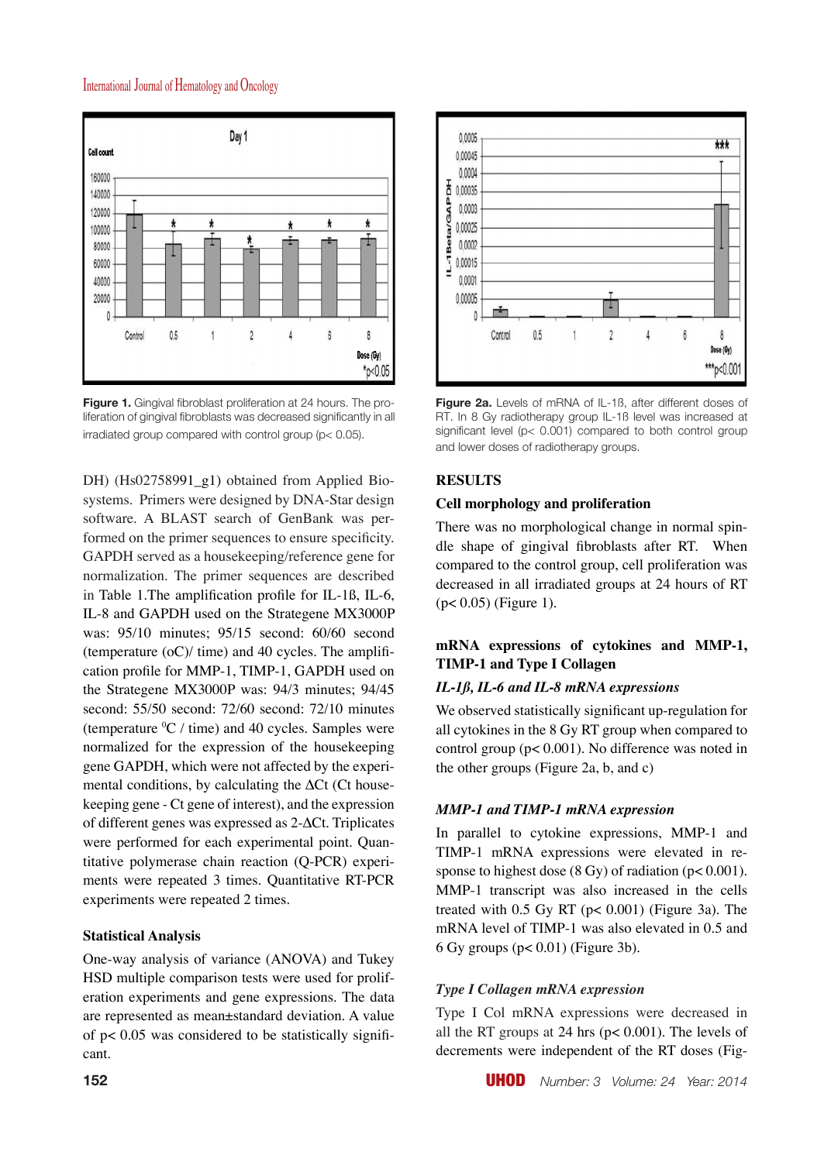

**Figure 1.** Gingival fibroblast proliferation at 24 hours. The proliferation of gingival fibroblasts was decreased significantly in all irradiated group compared with control group (p< 0.05).

DH) (Hs02758991\_g1) obtained from Applied Biosystems. Primers were designed by DNA-Star design software. A BLAST search of GenBank was performed on the primer sequences to ensure specificity. GAPDH served as a housekeeping/reference gene for normalization. The primer sequences are described in Table 1.The amplification profile for IL-1ß, IL-6, IL-8 and GAPDH used on the Strategene MX3000P was: 95/10 minutes; 95/15 second: 60/60 second (temperature  $(oC)/$  time) and 40 cycles. The amplification profile for MMP-1, TIMP-1, GAPDH used on the Strategene MX3000P was: 94/3 minutes; 94/45 second: 55/50 second: 72/60 second: 72/10 minutes (temperature  ${}^{0}C /$  time) and 40 cycles. Samples were normalized for the expression of the housekeeping gene GAPDH, which were not affected by the experimental conditions, by calculating the ∆Ct (Ct housekeeping gene - Ct gene of interest), and the expression of different genes was expressed as 2-∆Ct. Triplicates were performed for each experimental point. Quantitative polymerase chain reaction (Q-PCR) experiments were repeated 3 times. Quantitative RT-PCR experiments were repeated 2 times.

#### **Statistical Analysis**

One-way analysis of variance (ANOVA) and Tukey HSD multiple comparison tests were used for proliferation experiments and gene expressions. The data are represented as mean±standard deviation. A value of p< 0.05 was considered to be statistically significant.



**Figure 2a.** Levels of mRNA of IL-1ß, after different doses of RT. In 8 Gy radiotherapy group IL-1ß level was increased at significant level (p< 0.001) compared to both control group and lower doses of radiotherapy groups.

#### **RESULTS**

#### **Cell morphology and proliferation**

There was no morphological change in normal spindle shape of gingival fibroblasts after RT. When compared to the control group, cell proliferation was decreased in all irradiated groups at 24 hours of RT  $(p< 0.05)$  (Figure 1).

# **mRNA expressions of cytokines and MMP-1, TIMP-1 and Type I Collagen**

#### *IL-1ß, IL-6 and IL-8 mRNA expressions*

We observed statistically significant up-regulation for all cytokines in the 8 Gy RT group when compared to control group (p< 0.001). No difference was noted in the other groups (Figure 2a, b, and c)

#### *MMP-1 and TIMP-1 mRNA expression*

In parallel to cytokine expressions, MMP-1 and TIMP-1 mRNA expressions were elevated in response to highest dose  $(8 \text{ Gy})$  of radiation  $(p < 0.001)$ . MMP-1 transcript was also increased in the cells treated with  $0.5$  Gy RT ( $p < 0.001$ ) (Figure 3a). The mRNA level of TIMP-1 was also elevated in 0.5 and 6 Gy groups (p< 0.01) (Figure 3b).

#### *Type I Collagen mRNA expression*

Type I Col mRNA expressions were decreased in all the RT groups at 24 hrs ( $p < 0.001$ ). The levels of decrements were independent of the RT doses (Fig-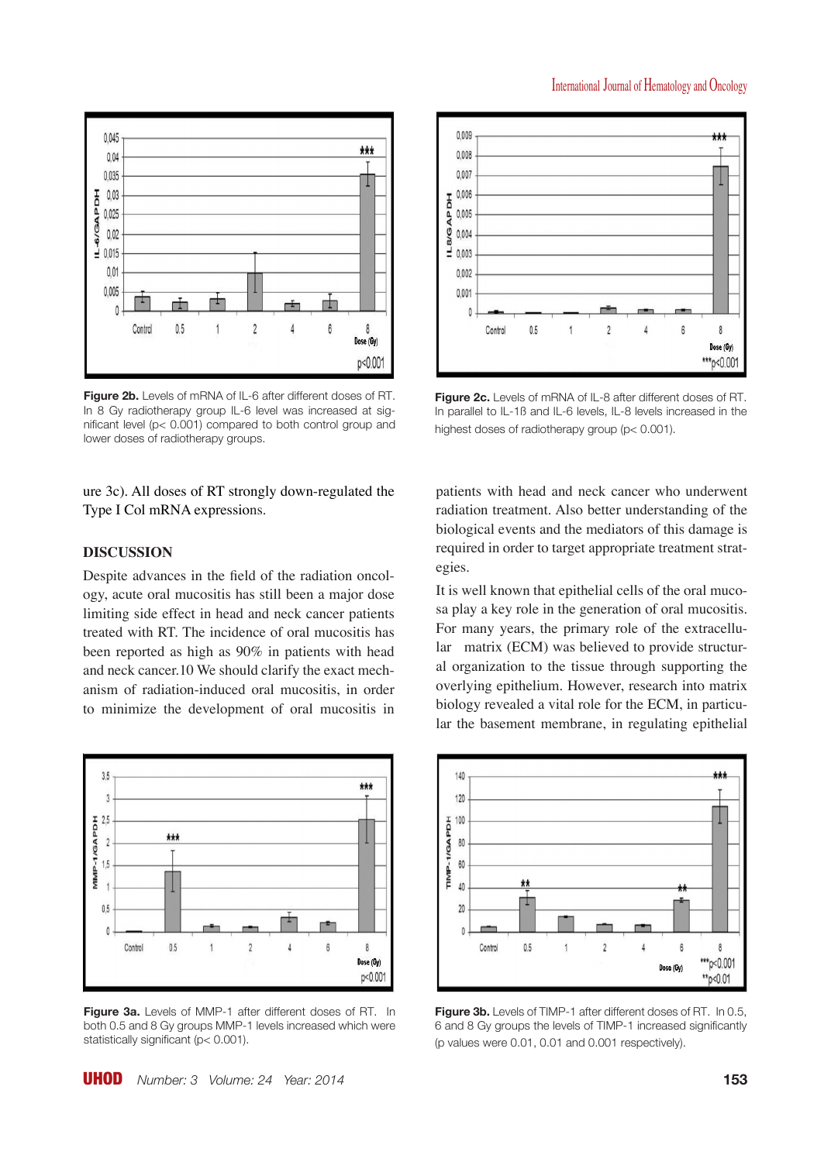



**Figure 2b.** Levels of mRNA of IL-6 after different doses of RT. In 8 Gy radiotherapy group IL-6 level was increased at significant level (p< 0.001) compared to both control group and lower doses of radiotherapy groups.

ure 3c). All doses of RT strongly down-regulated the Type I Col mRNA expressions.

# **DISCUSSION**

Despite advances in the field of the radiation oncology, acute oral mucositis has still been a major dose limiting side effect in head and neck cancer patients treated with RT. The incidence of oral mucositis has been reported as high as 90% in patients with head and neck cancer.10 We should clarify the exact mechanism of radiation-induced oral mucositis, in order to minimize the development of oral mucositis in



**Figure 3a.** Levels of MMP-1 after different doses of RT. In both 0.5 and 8 Gy groups MMP-1 levels increased which were statistically significant (p< 0.001).



**Figure 2c.** Levels of mRNA of IL-8 after different doses of RT. In parallel to IL-1ß and IL-6 levels, IL-8 levels increased in the highest doses of radiotherapy group (p< 0.001).

patients with head and neck cancer who underwent radiation treatment. Also better understanding of the biological events and the mediators of this damage is required in order to target appropriate treatment strategies.

It is well known that epithelial cells of the oral mucosa play a key role in the generation of oral mucositis. For many years, the primary role of the extracellular matrix (ECM) was believed to provide structural organization to the tissue through supporting the overlying epithelium. However, research into matrix biology revealed a vital role for the ECM, in particular the basement membrane, in regulating epithelial



**Figure 3b.** Levels of TIMP-1 after different doses of RT. In 0.5, 6 and 8 Gy groups the levels of TIMP-1 increased significantly (p values were 0.01, 0.01 and 0.001 respectively).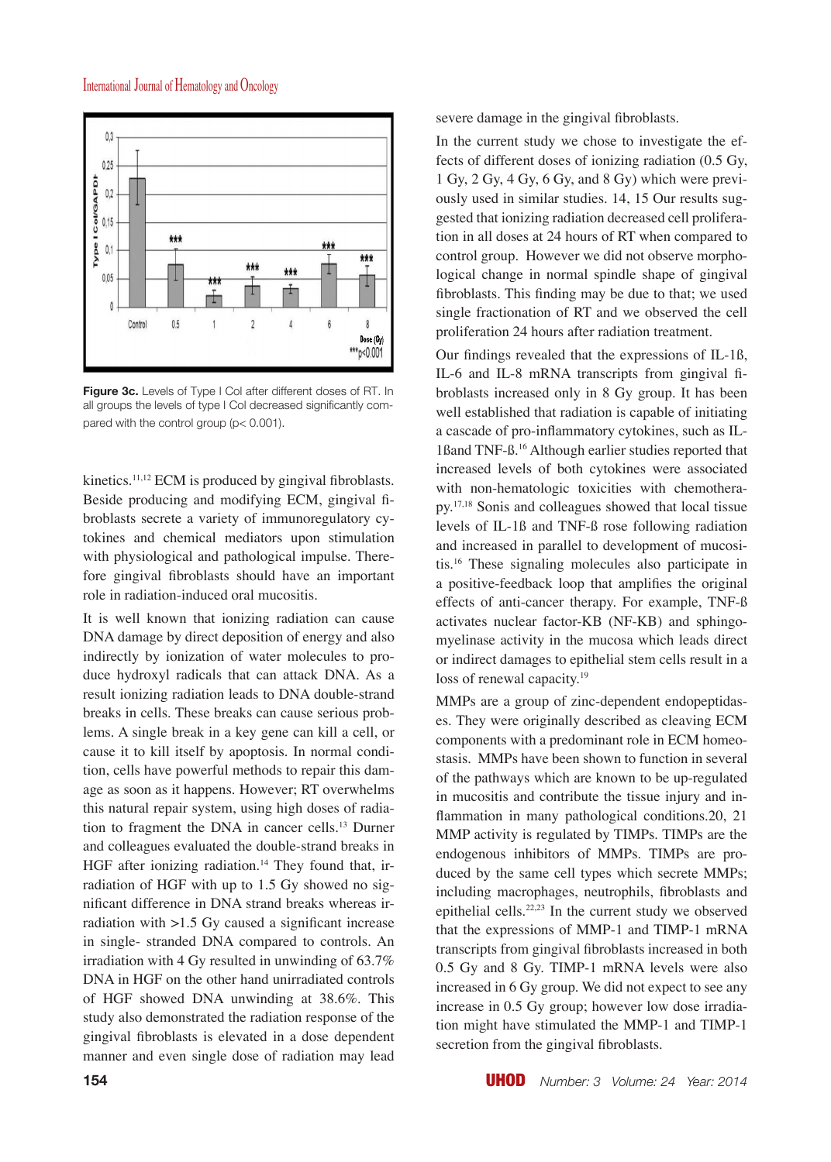

**Figure 3c.** Levels of Type I Col after different doses of RT. In all groups the levels of type I Col decreased significantly compared with the control group (p< 0.001).

kinetics.<sup>11,12</sup> ECM is produced by gingival fibroblasts. Beside producing and modifying ECM, gingival fibroblasts secrete a variety of immunoregulatory cytokines and chemical mediators upon stimulation with physiological and pathological impulse. Therefore gingival fibroblasts should have an important role in radiation-induced oral mucositis.

It is well known that ionizing radiation can cause DNA damage by direct deposition of energy and also indirectly by ionization of water molecules to produce hydroxyl radicals that can attack DNA. As a result ionizing radiation leads to DNA double-strand breaks in cells. These breaks can cause serious problems. A single break in a key gene can kill a cell, or cause it to kill itself by apoptosis. In normal condition, cells have powerful methods to repair this damage as soon as it happens. However; RT overwhelms this natural repair system, using high doses of radiation to fragment the DNA in cancer cells.13 Durner and colleagues evaluated the double-strand breaks in HGF after ionizing radiation.<sup>14</sup> They found that, irradiation of HGF with up to 1.5 Gy showed no significant difference in DNA strand breaks whereas irradiation with  $>1.5$  Gy caused a significant increase in single- stranded DNA compared to controls. An irradiation with 4 Gy resulted in unwinding of 63.7% DNA in HGF on the other hand unirradiated controls of HGF showed DNA unwinding at 38.6%. This study also demonstrated the radiation response of the gingival fibroblasts is elevated in a dose dependent manner and even single dose of radiation may lead severe damage in the gingival fibroblasts.

In the current study we chose to investigate the effects of different doses of ionizing radiation (0.5 Gy, 1 Gy, 2 Gy, 4 Gy, 6 Gy, and 8 Gy) which were previously used in similar studies. 14, 15 Our results suggested that ionizing radiation decreased cell proliferation in all doses at 24 hours of RT when compared to control group. However we did not observe morphological change in normal spindle shape of gingival fibroblasts. This finding may be due to that; we used single fractionation of RT and we observed the cell proliferation 24 hours after radiation treatment.

Our findings revealed that the expressions of IL-1ß, IL-6 and IL-8 mRNA transcripts from gingival fibroblasts increased only in 8 Gy group. It has been well established that radiation is capable of initiating a cascade of pro-inflammatory cytokines, such as IL-1ßand TNF-ß.<sup>16</sup> Although earlier studies reported that increased levels of both cytokines were associated with non-hematologic toxicities with chemotherapy.17,18 Sonis and colleagues showed that local tissue levels of IL-1ß and TNF-ß rose following radiation and increased in parallel to development of mucositis.<sup>16</sup> These signaling molecules also participate in a positive-feedback loop that amplifies the original effects of anti-cancer therapy. For example, TNF-ß activates nuclear factor-KB (NF-KB) and sphingomyelinase activity in the mucosa which leads direct or indirect damages to epithelial stem cells result in a loss of renewal capacity.<sup>19</sup>

MMPs are a group of zinc-dependent endopeptidases. They were originally described as cleaving ECM components with a predominant role in ECM homeostasis. MMPs have been shown to function in several of the pathways which are known to be up-regulated in mucositis and contribute the tissue injury and inflammation in many pathological conditions.20, 21 MMP activity is regulated by TIMPs. TIMPs are the endogenous inhibitors of MMPs. TIMPs are produced by the same cell types which secrete MMPs; including macrophages, neutrophils, fibroblasts and epithelial cells.22,23 In the current study we observed that the expressions of MMP-1 and TIMP-1 mRNA transcripts from gingival fibroblasts increased in both 0.5 Gy and 8 Gy. TIMP-1 mRNA levels were also increased in 6 Gy group. We did not expect to see any increase in 0.5 Gy group; however low dose irradiation might have stimulated the MMP-1 and TIMP-1 secretion from the gingival fibroblasts.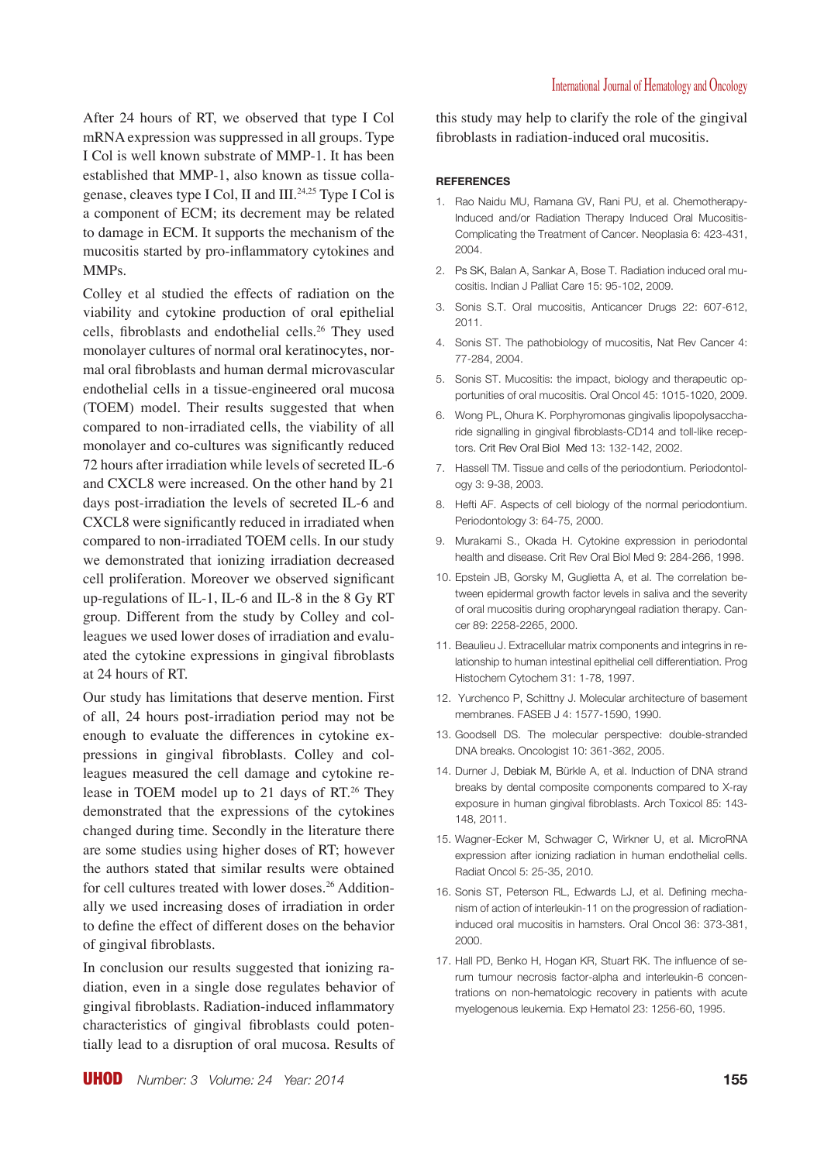characteristics of gingival fibroblasts could potentially lead to a disruption of oral mucosa. Results of

of gingival fibroblasts.

monolayer and co-cultures was significantly reduced 72 hours after irradiation while levels of secreted IL-6 and CXCL8 were increased. On the other hand by 21 days post-irradiation the levels of secreted IL-6 and CXCL8 were significantly reduced in irradiated when compared to non-irradiated TOEM cells. In our study

we demonstrated that ionizing irradiation decreased cell proliferation. Moreover we observed significant up-regulations of IL-1, IL-6 and IL-8 in the 8 Gy RT group. Different from the study by Colley and colleagues we used lower doses of irradiation and evaluated the cytokine expressions in gingival fibroblasts at 24 hours of RT. Our study has limitations that deserve mention. First of all, 24 hours post-irradiation period may not be

enough to evaluate the differences in cytokine expressions in gingival fibroblasts. Colley and colleagues measured the cell damage and cytokine release in TOEM model up to 21 days of RT.<sup>26</sup> They demonstrated that the expressions of the cytokines changed during time. Secondly in the literature there are some studies using higher doses of RT; however the authors stated that similar results were obtained for cell cultures treated with lower doses.<sup>26</sup> Additionally we used increasing doses of irradiation in order to define the effect of different doses on the behavior

In conclusion our results suggested that ionizing radiation, even in a single dose regulates behavior of gingival fibroblasts. Radiation-induced inflammatory

a component of ECM; its decrement may be related to damage in ECM. It supports the mechanism of the mucositis started by pro-inflammatory cytokines and MMPs. Colley et al studied the effects of radiation on the

monolayer cultures of normal oral keratinocytes, normal oral fibroblasts and human dermal microvascular endothelial cells in a tissue-engineered oral mucosa (TOEM) model. Their results suggested that when compared to non-irradiated cells, the viability of all

mRNA expression was suppressed in all groups. Type I Col is well known substrate of MMP-1. It has been established that MMP-1, also known as tissue collagenase, cleaves type I Col, II and III.24,25 Type I Col is

After 24 hours of RT, we observed that type I Col

viability and cytokine production of oral epithelial cells, fibroblasts and endothelial cells.<sup>26</sup> They used this study may help to clarify the role of the gingival fibroblasts in radiation-induced oral mucositis.

#### **REFERENCES**

- 1. Rao Naidu MU, Ramana GV, Rani PU, et al. Chemotherapy-Induced and/or Radiation Therapy Induced Oral Mucositis-Complicating the Treatment of Cancer. Neoplasia 6: 423-431, 2004.
- 2. Ps SK, Balan A, Sankar A, Bose T. Radiation induced oral mucositis. Indian J Palliat Care 15: 95-102, 2009.
- 3. Sonis S.T. Oral mucositis, Anticancer Drugs 22: 607-612, 2011.
- 4. Sonis ST. The pathobiology of mucositis, Nat Rev Cancer 4: 77-284, 2004.
- 5. Sonis ST. Mucositis: the impact, biology and therapeutic opportunities of oral mucositis. Oral Oncol 45: 1015-1020, 2009.
- 6. Wong PL, Ohura K. Porphyromonas gingivalis lipopolysaccharide signalling in gingival fibroblasts-CD14 and toll-like receptors. Crit Rev Oral Biol Med 13: 132-142, 2002.
- 7. Hassell TM. Tissue and cells of the periodontium. Periodontology 3: 9-38, 2003.
- 8. Hefti AF. Aspects of cell biology of the normal periodontium. Periodontology 3: 64-75, 2000.
- 9. Murakami S., Okada H. Cytokine expression in periodontal health and disease. Crit Rev Oral Biol Med 9: 284-266, 1998.
- 10. Epstein JB, Gorsky M, Guglietta A, et al. The correlation between epidermal growth factor levels in saliva and the severity of oral mucositis during oropharyngeal radiation therapy. Cancer 89: 2258-2265, 2000.
- 11. Beaulieu J. Extracellular matrix components and integrins in relationship to human intestinal epithelial cell differentiation. Prog Histochem Cytochem 31: 1-78, 1997.
- 12. Yurchenco P, Schittny J. Molecular architecture of basement membranes. FASEB J 4: 1577-1590, 1990.
- 13. Goodsell DS. The molecular perspective: double-stranded DNA breaks. Oncologist 10: 361-362, 2005.
- 14. Durner J, Debiak M, Bürkle A, et al. Induction of DNA strand breaks by dental composite components compared to X-ray exposure in human gingival fibroblasts. Arch Toxicol 85: 143- 148, 2011.
- 15. Wagner-Ecker M, Schwager C, Wirkner U, et al. MicroRNA expression after ionizing radiation in human endothelial cells. Radiat Oncol 5: 25-35, 2010.
- 16. Sonis ST, Peterson RL, Edwards LJ, et al. Defining mechanism of action of interleukin-11 on the progression of radiationinduced oral mucositis in hamsters. Oral Oncol 36: 373-381, 2000.
- 17. Hall PD, Benko H, Hogan KR, Stuart RK. The influence of serum tumour necrosis factor-alpha and interleukin-6 concentrations on non-hematologic recovery in patients with acute myelogenous leukemia. Exp Hematol 23: 1256-60, 1995.